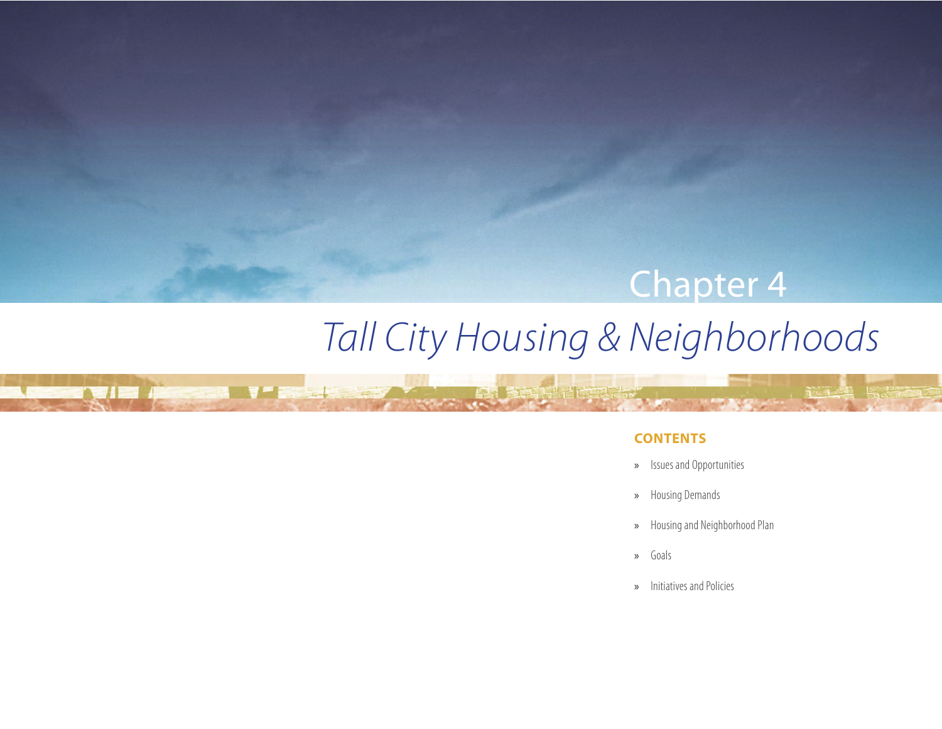## Chapter 4

# *Tall City Housing & Neighborhoods*

 $\mathbb{R}^n$  and  $\mathbb{R}^n$ 

**STERN** 

## **CONTENTS**

- » Issues and Opportunities
- » Housing Demands
- » Housing and Neighborhood Plan
- » Goals
- » Initiatives and Policies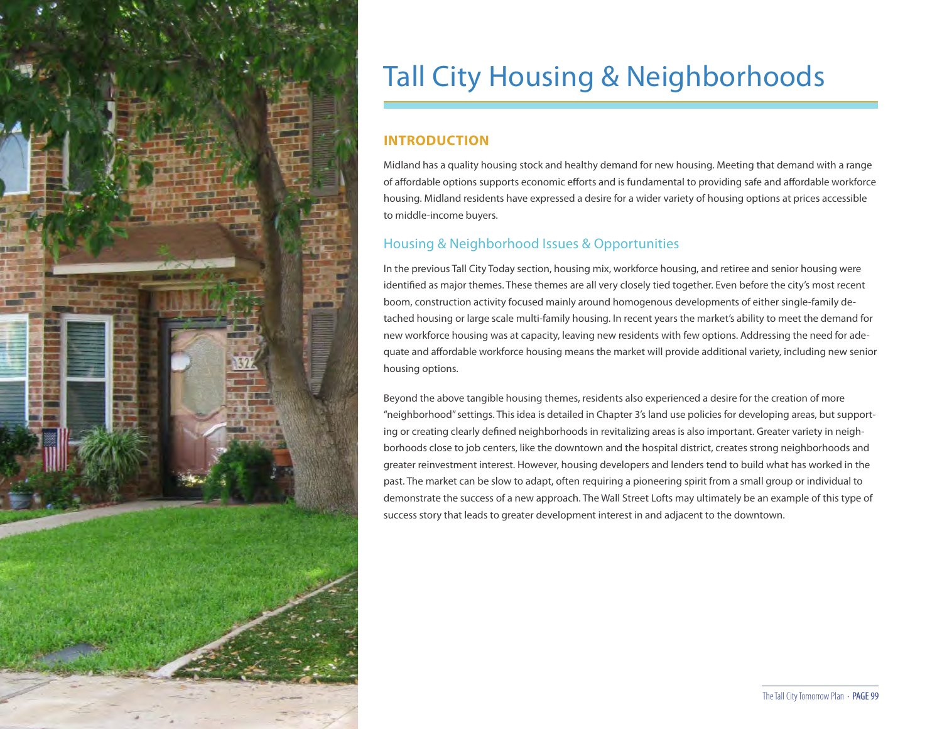

## Tall City Housing & Neighborhoods

### **INTRODUCTION**

Midland has a quality housing stock and healthy demand for new housing. Meeting that demand with a range of affordable options supports economic efforts and is fundamental to providing safe and affordable workforce housing. Midland residents have expressed a desire for a wider variety of housing options at prices accessible to middle-income buyers.

## Housing & Neighborhood Issues & Opportunities

In the previous Tall City Today section, housing mix, workforce housing, and retiree and senior housing were identified as major themes. These themes are all very closely tied together. Even before the city's most recent boom, construction activity focused mainly around homogenous developments of either single-family detached housing or large scale multi-family housing. In recent years the market's ability to meet the demand for new workforce housing was at capacity, leaving new residents with few options. Addressing the need for adequate and affordable workforce housing means the market will provide additional variety, including new senior housing options.

Beyond the above tangible housing themes, residents also experienced a desire for the creation of more "neighborhood" settings. This idea is detailed in Chapter 3's land use policies for developing areas, but supporting or creating clearly defined neighborhoods in revitalizing areas is also important. Greater variety in neighborhoods close to job centers, like the downtown and the hospital district, creates strong neighborhoods and greater reinvestment interest. However, housing developers and lenders tend to build what has worked in the past. The market can be slow to adapt, often requiring a pioneering spirit from a small group or individual to demonstrate the success of a new approach. The Wall Street Lofts may ultimately be an example of this type of success story that leads to greater development interest in and adjacent to the downtown.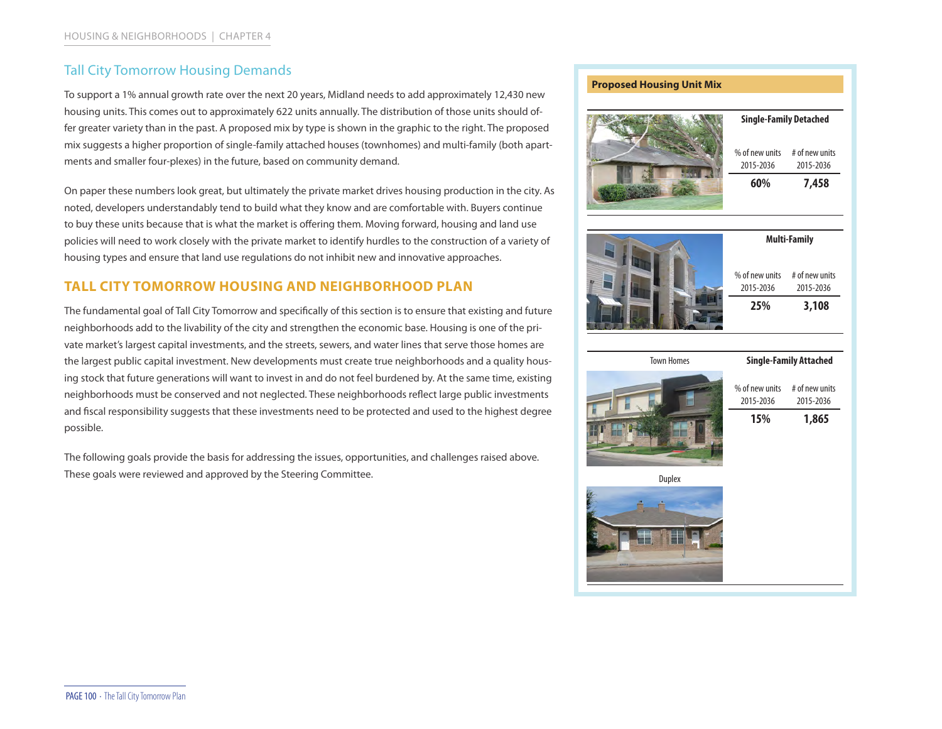## Tall City Tomorrow Housing Demands

To support a 1% annual growth rate over the next 20 years, Midland needs to add approximately 12,430 new housing units. This comes out to approximately 622 units annually. The distribution of those units should offer greater variety than in the past. A proposed mix by type is shown in the graphic to the right. The proposed mix suggests a higher proportion of single-family attached houses (townhomes) and multi-family (both apartments and smaller four-plexes) in the future, based on community demand.

On paper these numbers look great, but ultimately the private market drives housing production in the city. As noted, developers understandably tend to build what they know and are comfortable with. Buyers continue to buy these units because that is what the market is offering them. Moving forward, housing and land use policies will need to work closely with the private market to identify hurdles to the construction of a variety of housing types and ensure that land use regulations do not inhibit new and innovative approaches.

## **TALL CITY TOMORROW HOUSING AND NEIGHBORHOOD PLAN**

The fundamental goal of Tall City Tomorrow and specifically of this section is to ensure that existing and future neighborhoods add to the livability of the city and strengthen the economic base. Housing is one of the private market's largest capital investments, and the streets, sewers, and water lines that serve those homes are the largest public capital investment. New developments must create true neighborhoods and a quality housing stock that future generations will want to invest in and do not feel burdened by. At the same time, existing neighborhoods must be conserved and not neglected. These neighborhoods reflect large public investments and fiscal responsibility suggests that these investments need to be protected and used to the highest degree possible.

The following goals provide the basis for addressing the issues, opportunities, and challenges raised above. These goals were reviewed and approved by the Steering Committee.

| <b>Proposed Housing Unit Mix</b> |                               |                             |
|----------------------------------|-------------------------------|-----------------------------|
|                                  | <b>Single-Family Detached</b> |                             |
|                                  | % of new units<br>2015-2036   | # of new units<br>2015-2036 |
|                                  | 60%                           | 7,458                       |
|                                  | <b>Multi-Family</b>           |                             |
|                                  | % of new units<br>2015-2036   | # of new units<br>2015-2036 |
|                                  | 25%                           | 3,108                       |
| <b>Town Homes</b>                | <b>Single-Family Attached</b> |                             |
|                                  | % of new units<br>2015-2036   | # of new units<br>2015-2036 |
|                                  | 15%                           | 1,865                       |
| Duplex                           |                               |                             |
|                                  |                               |                             |
|                                  |                               |                             |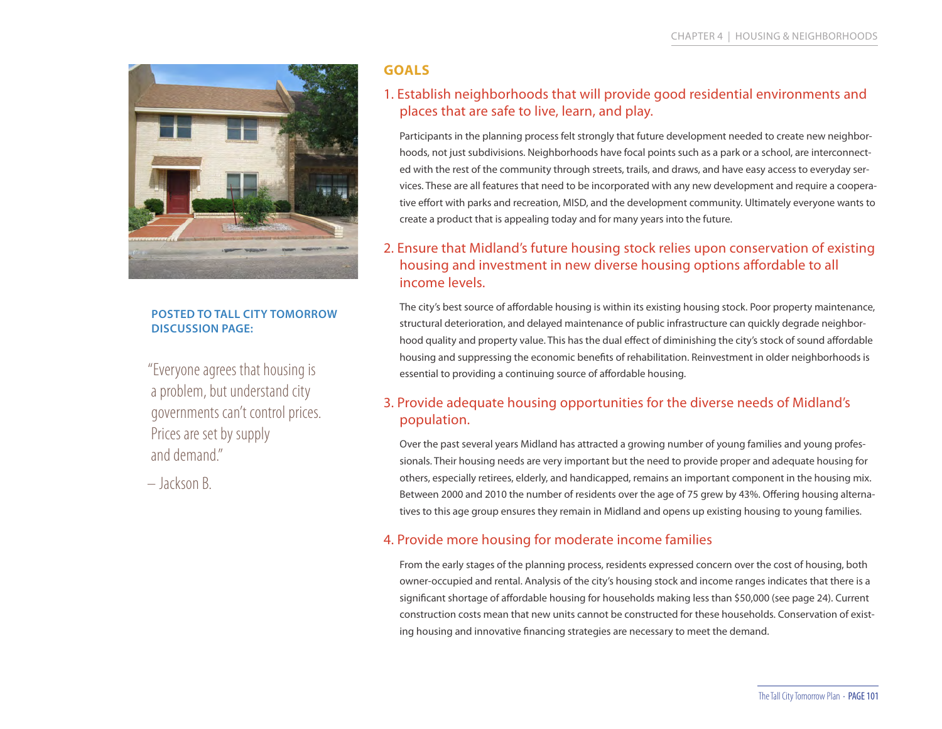

#### **POSTED TO TALL CITY TOMORROW DISCUSSION PAGE:**

"Everyone agrees that housing is a problem, but understand city governments can't control prices. Prices are set by supply and demand."

– Jackson B.

## **GOALS**

## 1. Establish neighborhoods that will provide good residential environments and places that are safe to live, learn, and play.

Participants in the planning process felt strongly that future development needed to create new neighborhoods, not just subdivisions. Neighborhoods have focal points such as a park or a school, are interconnected with the rest of the community through streets, trails, and draws, and have easy access to everyday services. These are all features that need to be incorporated with any new development and require a cooperative effort with parks and recreation, MISD, and the development community. Ultimately everyone wants to create a product that is appealing today and for many years into the future.

## 2. Ensure that Midland's future housing stock relies upon conservation of existing housing and investment in new diverse housing options affordable to all income levels.

The city's best source of affordable housing is within its existing housing stock. Poor property maintenance, structural deterioration, and delayed maintenance of public infrastructure can quickly degrade neighborhood quality and property value. This has the dual effect of diminishing the city's stock of sound affordable housing and suppressing the economic benefits of rehabilitation. Reinvestment in older neighborhoods is essential to providing a continuing source of affordable housing.

## 3. Provide adequate housing opportunities for the diverse needs of Midland's population.

Over the past several years Midland has attracted a growing number of young families and young professionals. Their housing needs are very important but the need to provide proper and adequate housing for others, especially retirees, elderly, and handicapped, remains an important component in the housing mix. Between 2000 and 2010 the number of residents over the age of 75 grew by 43%. Offering housing alternatives to this age group ensures they remain in Midland and opens up existing housing to young families.

## 4. Provide more housing for moderate income families

From the early stages of the planning process, residents expressed concern over the cost of housing, both owner-occupied and rental. Analysis of the city's housing stock and income ranges indicates that there is a significant shortage of affordable housing for households making less than \$50,000 (see page 24). Current construction costs mean that new units cannot be constructed for these households. Conservation of existing housing and innovative financing strategies are necessary to meet the demand.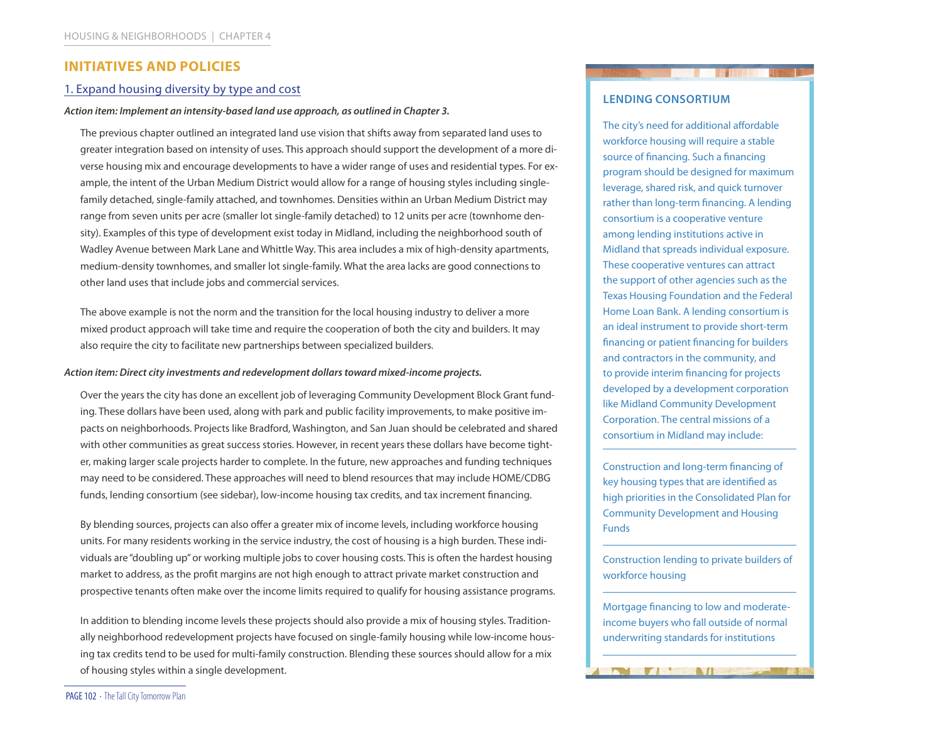#### **INITIATIVES AND POLICIES**

#### 1. Expand housing diversity by type and cost

#### *Action item: Implement an intensity-based land use approach, as outlined in Chapter 3.*

The previous chapter outlined an integrated land use vision that shifts away from separated land uses to greater integration based on intensity of uses. This approach should support the development of a more diverse housing mix and encourage developments to have a wider range of uses and residential types. For example, the intent of the Urban Medium District would allow for a range of housing styles including singlefamily detached, single-family attached, and townhomes. Densities within an Urban Medium District may range from seven units per acre (smaller lot single-family detached) to 12 units per acre (townhome density). Examples of this type of development exist today in Midland, including the neighborhood south of Wadley Avenue between Mark Lane and Whittle Way. This area includes a mix of high-density apartments, medium-density townhomes, and smaller lot single-family. What the area lacks are good connections to other land uses that include jobs and commercial services.

The above example is not the norm and the transition for the local housing industry to deliver a more mixed product approach will take time and require the cooperation of both the city and builders. It may also require the city to facilitate new partnerships between specialized builders.

#### *Action item: Direct city investments and redevelopment dollars toward mixed-income projects.*

Over the years the city has done an excellent job of leveraging Community Development Block Grant funding. These dollars have been used, along with park and public facility improvements, to make positive impacts on neighborhoods. Projects like Bradford, Washington, and San Juan should be celebrated and shared with other communities as great success stories. However, in recent years these dollars have become tighter, making larger scale projects harder to complete. In the future, new approaches and funding techniques may need to be considered. These approaches will need to blend resources that may include HOME/CDBG funds, lending consortium (see sidebar), low-income housing tax credits, and tax increment financing.

By blending sources, projects can also offer a greater mix of income levels, including workforce housing units. For many residents working in the service industry, the cost of housing is a high burden. These individuals are "doubling up" or working multiple jobs to cover housing costs. This is often the hardest housing market to address, as the profit margins are not high enough to attract private market construction and prospective tenants often make over the income limits required to qualify for housing assistance programs.

In addition to blending income levels these projects should also provide a mix of housing styles. Traditionally neighborhood redevelopment projects have focused on single-family housing while low-income housing tax credits tend to be used for multi-family construction. Blending these sources should allow for a mix of housing styles within a single development.

#### **LENDING CONSORTIUM**

The city's need for additional affordable workforce housing will require a stable source of financing. Such a financing program should be designed for maximum leverage, shared risk, and quick turnover rather than long-term financing. A lending consortium is a cooperative venture among lending institutions active in Midland that spreads individual exposure. These cooperative ventures can attract the support of other agencies such as the Texas Housing Foundation and the Federal Home Loan Bank. A lending consortium is an ideal instrument to provide short-term financing or patient financing for builders and contractors in the community, and to provide interim financing for projects developed by a development corporation like Midland Community Development Corporation. The central missions of a consortium in Midland may include:

Construction and long-term financing of key housing types that are identified as high priorities in the Consolidated Plan for Community Development and Housing Funds

Construction lending to private builders of workforce housing

Mortgage financing to low and moderateincome buyers who fall outside of normal underwriting standards for institutions

 $\blacksquare$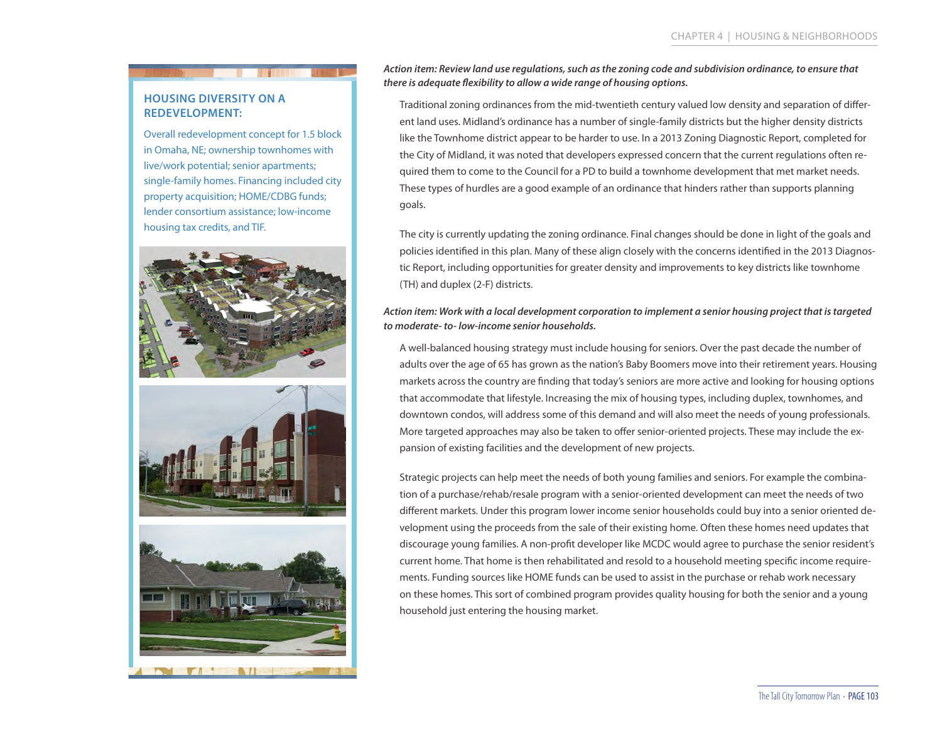#### **HOUSING DIVERSITY ON A REDEVELOPMENT:**

Overall redevelopment concept for 1.5 block in Omaha, NE; ownership townhomes with live/work potential; senior apartments; single-family homes. Financing included city property acquisition; HOME/CDBG funds; lender consortium assistance; low-income housing tax credits, and TIF.



*Action item: Review land use regulations, such as the zoning code and subdivision ordinance, to ensure that there is adequate flexibility to allow a wide range of housing options.* 

Traditional zoning ordinances from the mid-twentieth century valued low density and separation of different land uses. Midland's ordinance has a number of single-family districts but the higher density districts like the Townhome district appear to be harder to use. In a 2013 Zoning Diagnostic Report, completed for the City of Midland, it was noted that developers expressed concern that the current regulations often required them to come to the Council for a PD to build a townhome development that met market needs. These types of hurdles are a good example of an ordinance that hinders rather than supports planning goals.

The city is currently updating the zoning ordinance. Final changes should be done in light of the goals and policies identified in this plan. Many of these align closely with the concerns identified in the 2013 Diagnostic Report, including opportunities for greater density and improvements to key districts like townhome (TH) and duplex (2-F) districts.

#### *Action item: Work with a local development corporation to implement a senior housing project that is targeted to moderate- to- low-income senior households.*

A well-balanced housing strategy must include housing for seniors. Over the past decade the number of adults over the age of 65 has grown as the nation's Baby Boomers move into their retirement years. Housing markets across the country are finding that today's seniors are more active and looking for housing options that accommodate that lifestyle. Increasing the mix of housing types, including duplex, townhomes, and downtown condos, will address some of this demand and will also meet the needs of young professionals. More targeted approaches may also be taken to offer senior-oriented projects. These may include the expansion of existing facilities and the development of new projects.

Strategic projects can help meet the needs of both young families and seniors. For example the combination of a purchase/rehab/resale program with a senior-oriented development can meet the needs of two different markets. Under this program lower income senior households could buy into a senior oriented development using the proceeds from the sale of their existing home. Often these homes need updates that discourage young families. A non-profit developer like MCDC would agree to purchase the senior resident's current home. That home is then rehabilitated and resold to a household meeting specific income requirements. Funding sources like HOME funds can be used to assist in the purchase or rehab work necessary on these homes. This sort of combined program provides quality housing for both the senior and a young household just entering the housing market.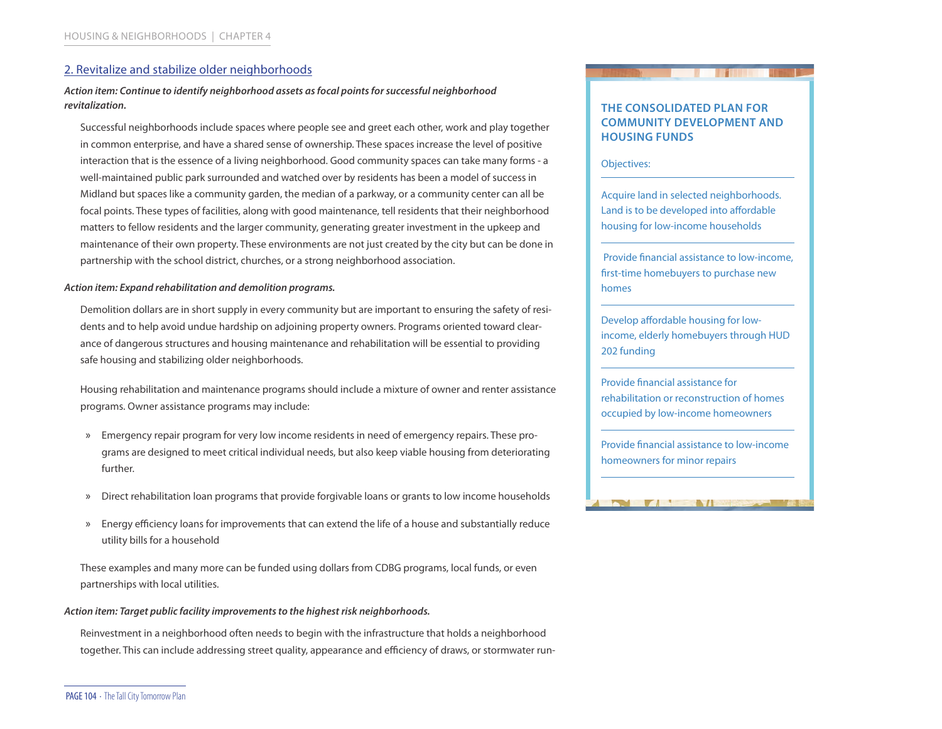#### 2. Revitalize and stabilize older neighborhoods

#### *Action item: Continue to identify neighborhood assets as focal points for successful neighborhood revitalization.*

Successful neighborhoods include spaces where people see and greet each other, work and play together in common enterprise, and have a shared sense of ownership. These spaces increase the level of positive interaction that is the essence of a living neighborhood. Good community spaces can take many forms - a well-maintained public park surrounded and watched over by residents has been a model of success in Midland but spaces like a community garden, the median of a parkway, or a community center can all be focal points. These types of facilities, along with good maintenance, tell residents that their neighborhood matters to fellow residents and the larger community, generating greater investment in the upkeep and maintenance of their own property. These environments are not just created by the city but can be done in partnership with the school district, churches, or a strong neighborhood association.

#### *Action item: Expand rehabilitation and demolition programs.*

Demolition dollars are in short supply in every community but are important to ensuring the safety of residents and to help avoid undue hardship on adjoining property owners. Programs oriented toward clearance of dangerous structures and housing maintenance and rehabilitation will be essential to providing safe housing and stabilizing older neighborhoods.

Housing rehabilitation and maintenance programs should include a mixture of owner and renter assistance programs. Owner assistance programs may include:

- » Emergency repair program for very low income residents in need of emergency repairs. These programs are designed to meet critical individual needs, but also keep viable housing from deteriorating further.
- » Direct rehabilitation loan programs that provide forgivable loans or grants to low income households
- » Energy efficiency loans for improvements that can extend the life of a house and substantially reduce utility bills for a household

These examples and many more can be funded using dollars from CDBG programs, local funds, or even partnerships with local utilities.

#### *Action item: Target public facility improvements to the highest risk neighborhoods.*

Reinvestment in a neighborhood often needs to begin with the infrastructure that holds a neighborhood together. This can include addressing street quality, appearance and efficiency of draws, or stormwater run-

#### **THE CONSOLIDATED PLAN FOR COMMUNITY DEVELOPMENT AND HOUSING FUNDS**

Objectives:

Acquire land in selected neighborhoods. Land is to be developed into affordable housing for low-income households

 Provide financial assistance to low-income, first-time homebuyers to purchase new homes

Develop affordable housing for lowincome, elderly homebuyers through HUD 202 funding

Provide financial assistance for rehabilitation or reconstruction of homes occupied by low-income homeowners

Provide financial assistance to low-income homeowners for minor repairs

 $\blacksquare$ 

 $\sqrt{1}$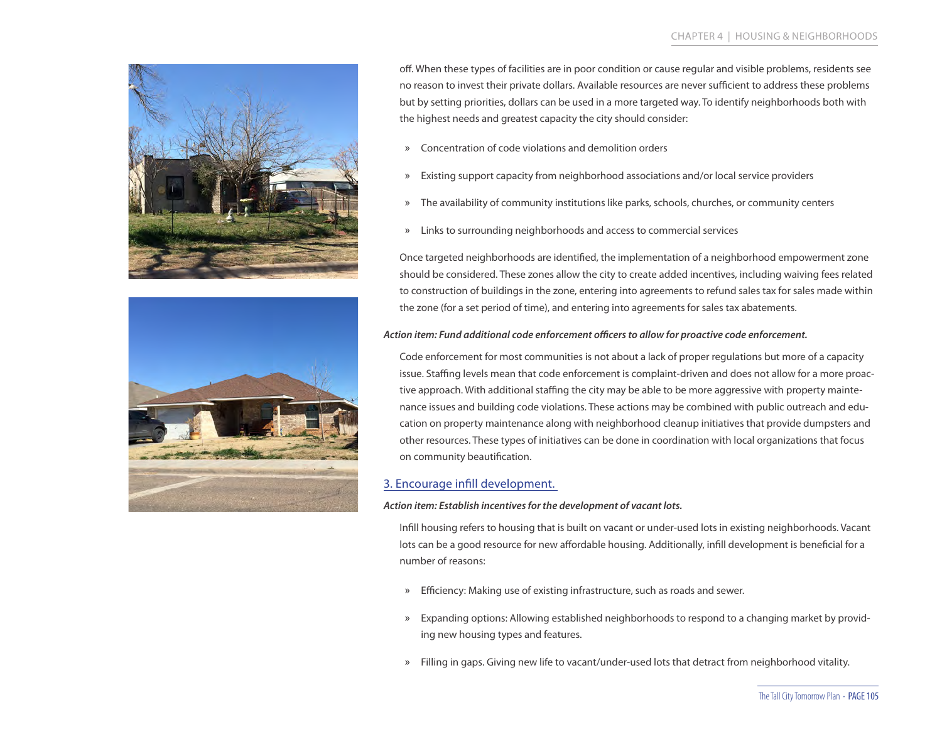



off. When these types of facilities are in poor condition or cause regular and visible problems, residents see no reason to invest their private dollars. Available resources are never sufficient to address these problems but by setting priorities, dollars can be used in a more targeted way. To identify neighborhoods both with the highest needs and greatest capacity the city should consider:

- » Concentration of code violations and demolition orders
- » Existing support capacity from neighborhood associations and/or local service providers
- » The availability of community institutions like parks, schools, churches, or community centers
- » Links to surrounding neighborhoods and access to commercial services

Once targeted neighborhoods are identified, the implementation of a neighborhood empowerment zone should be considered. These zones allow the city to create added incentives, including waiving fees related to construction of buildings in the zone, entering into agreements to refund sales tax for sales made within the zone (for a set period of time), and entering into agreements for sales tax abatements.

#### *Action item: Fund additional code enforcement officers to allow for proactive code enforcement.*

Code enforcement for most communities is not about a lack of proper regulations but more of a capacity issue. Staffing levels mean that code enforcement is complaint-driven and does not allow for a more proactive approach. With additional staffing the city may be able to be more aggressive with property maintenance issues and building code violations. These actions may be combined with public outreach and education on property maintenance along with neighborhood cleanup initiatives that provide dumpsters and other resources. These types of initiatives can be done in coordination with local organizations that focus on community beautification.

#### 3. Encourage infill development.

#### *Action item: Establish incentives for the development of vacant lots.*

Infill housing refers to housing that is built on vacant or under-used lots in existing neighborhoods. Vacant lots can be a good resource for new affordable housing. Additionally, infill development is beneficial for a number of reasons:

- » Efficiency: Making use of existing infrastructure, such as roads and sewer.
- » Expanding options: Allowing established neighborhoods to respond to a changing market by providing new housing types and features.
- » Filling in gaps. Giving new life to vacant/under-used lots that detract from neighborhood vitality.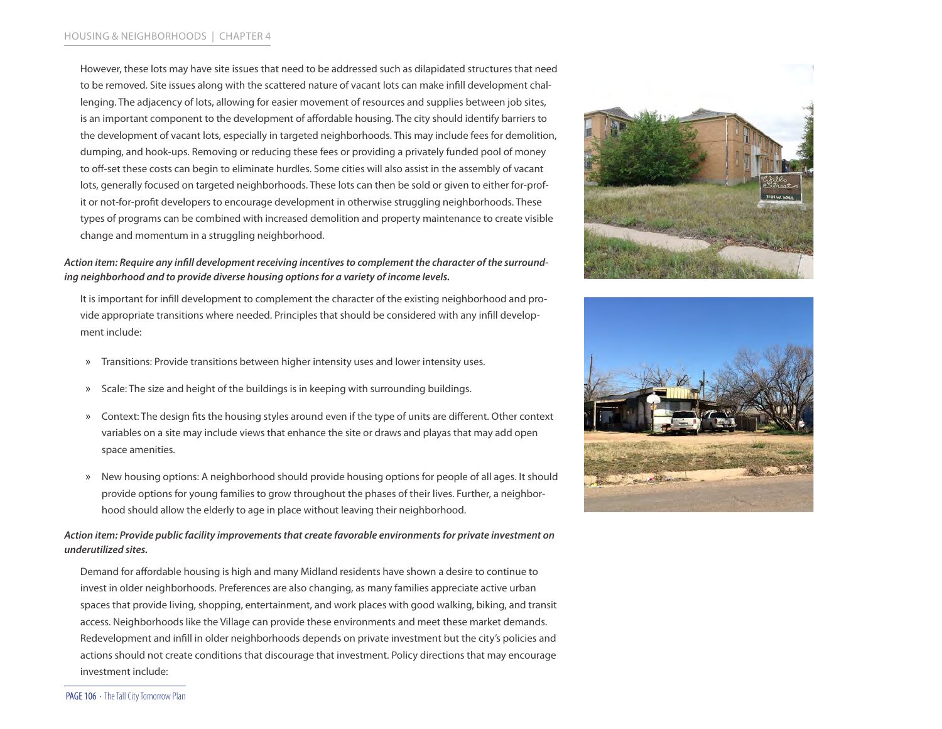However, these lots may have site issues that need to be addressed such as dilapidated structures that need to be removed. Site issues along with the scattered nature of vacant lots can make infill development challenging. The adjacency of lots, allowing for easier movement of resources and supplies between job sites, is an important component to the development of affordable housing. The city should identify barriers to the development of vacant lots, especially in targeted neighborhoods. This may include fees for demolition, dumping, and hook-ups. Removing or reducing these fees or providing a privately funded pool of money to off-set these costs can begin to eliminate hurdles. Some cities will also assist in the assembly of vacant lots, generally focused on targeted neighborhoods. These lots can then be sold or given to either for-profit or not-for-profit developers to encourage development in otherwise struggling neighborhoods. These types of programs can be combined with increased demolition and property maintenance to create visible change and momentum in a struggling neighborhood.

#### *Action item: Require any infill development receiving incentives to complement the character of the surrounding neighborhood and to provide diverse housing options for a variety of income levels.*

It is important for infill development to complement the character of the existing neighborhood and provide appropriate transitions where needed. Principles that should be considered with any infill development include:

- » Transitions: Provide transitions between higher intensity uses and lower intensity uses.
- » Scale: The size and height of the buildings is in keeping with surrounding buildings.
- » Context: The design fits the housing styles around even if the type of units are different. Other context variables on a site may include views that enhance the site or draws and playas that may add open space amenities.
- » New housing options: A neighborhood should provide housing options for people of all ages. It should provide options for young families to grow throughout the phases of their lives. Further, a neighborhood should allow the elderly to age in place without leaving their neighborhood.

#### *Action item: Provide public facility improvements that create favorable environments for private investment on underutilized sites.*

Demand for affordable housing is high and many Midland residents have shown a desire to continue to invest in older neighborhoods. Preferences are also changing, as many families appreciate active urban spaces that provide living, shopping, entertainment, and work places with good walking, biking, and transit access. Neighborhoods like the Village can provide these environments and meet these market demands. Redevelopment and infill in older neighborhoods depends on private investment but the city's policies and actions should not create conditions that discourage that investment. Policy directions that may encourage investment include:





PAGE 106 · The Tall City Tomorrow Plan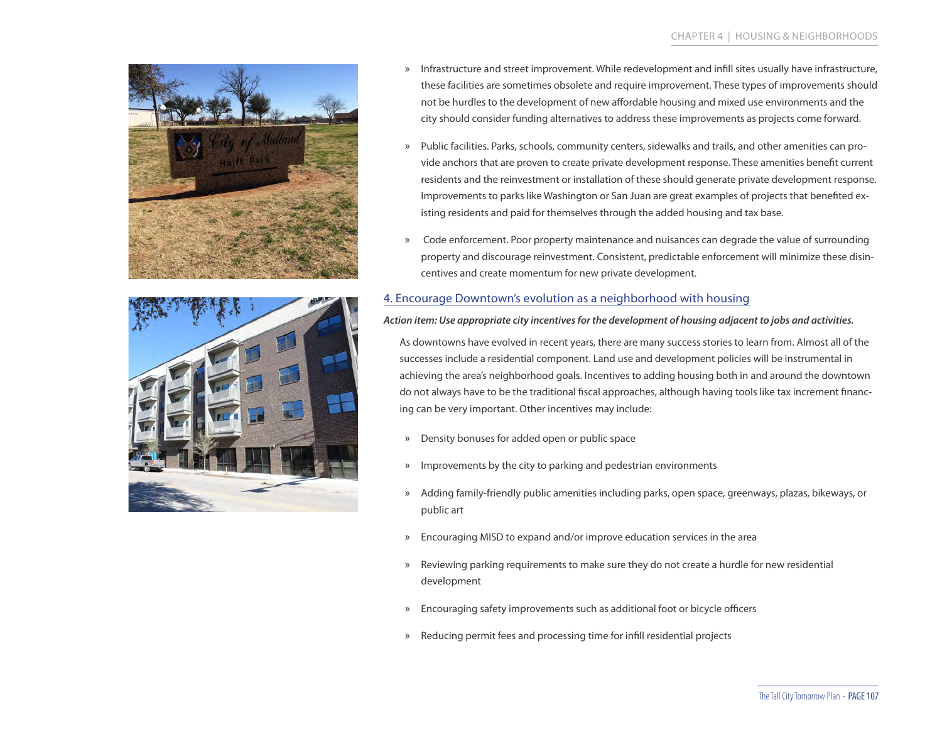



- » Infrastructure and street improvement. While redevelopment and infill sites usually have infrastructure, these facilities are sometimes obsolete and require improvement. These types of improvements should not be hurdles to the development of new affordable housing and mixed use environments and the city should consider funding alternatives to address these improvements as projects come forward.
- » Public facilities. Parks, schools, community centers, sidewalks and trails, and other amenities can provide anchors that are proven to create private development response. These amenities benefit current residents and the reinvestment or installation of these should generate private development response. Improvements to parks like Washington or San Juan are great examples of projects that benefited existing residents and paid for themselves through the added housing and tax base.
- » Code enforcement. Poor property maintenance and nuisances can degrade the value of surrounding property and discourage reinvestment. Consistent, predictable enforcement will minimize these disincentives and create momentum for new private development.

#### 4. Encourage Downtown's evolution as a neighborhood with housing

#### *Action item: Use appropriate city incentives for the development of housing adjacent to jobs and activities.*

As downtowns have evolved in recent years, there are many success stories to learn from. Almost all of the successes include a residential component. Land use and development policies will be instrumental in achieving the area's neighborhood goals. Incentives to adding housing both in and around the downtown do not always have to be the traditional fiscal approaches, although having tools like tax increment financing can be very important. Other incentives may include:

- » Density bonuses for added open or public space
- » Improvements by the city to parking and pedestrian environments
- » Adding family-friendly public amenities including parks, open space, greenways, plazas, bikeways, or public art
- » Encouraging MISD to expand and/or improve education services in the area
- » Reviewing parking requirements to make sure they do not create a hurdle for new residential development
- » Encouraging safety improvements such as additional foot or bicycle officers
- » Reducing permit fees and processing time for infill residential projects